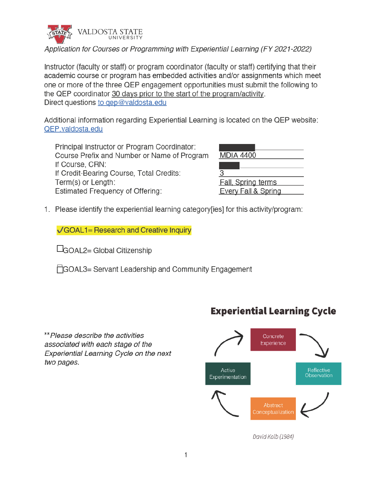

Application for Courses or Programming with Experiential Learning (FY 2021-2022)

Instructor (faculty or staff) or program coordinator (faculty or staff) certifying that their academic course or program has embedded activities and/or assignments which meet one or more of the three QEP engagement opportunities must submit the following to the QEP coordinator 30 days prior to the start of the program/activity. Direct questions to gep@valdosta.edu

Additional information regarding Experiential Learning is located on the QEP website: QEP.valdosta.edu

Principal Instructor or Program Coordinator: Course Prefix and Number or Name of Program If Course, CRN: If Credit-Bearing Course, Total Credits: Term(s) or Length: **Estimated Frequency of Offering:** 

| <b>MDIA 4400</b>                                            |  |  |
|-------------------------------------------------------------|--|--|
| 3                                                           |  |  |
| <b>Fall, Spring terms</b><br><b>Every Fall &amp; Spring</b> |  |  |

1. Please identify the experiential learning category[ies] for this activity/program:

√GOAL1= Research and Creative Inquiry

□GOAL2= Global Citizenship

GOAL3= Servant Leadership and Community Engagement

\*\*Please describe the activities associated with each stage of the Experiential Learning Cycle on the next two pages.

# **Experiential Learning Cycle**



David Kolb (1984)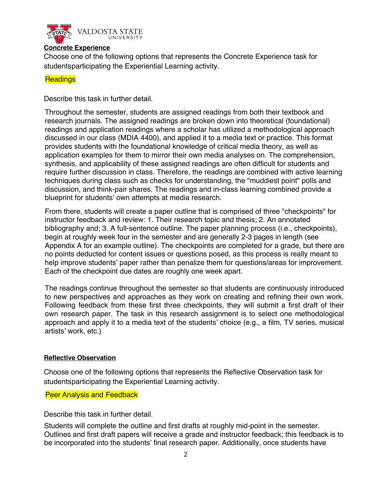

#### **Concrete Experience**

Choose one of the following options that represents the Concrete Experience task for students participating the Experiential Learning activity.

## **Readings**

Describe this task in further detail.

Throughout the semester, students are assigned readings from both their textbook and research journals. The assigned readings are broken down into theoretical (foundational) readings and application readings where a scholar has utilized a methodological approach discussed in our class (MDIA 4400), and applied it to a media text or practice. This format provides students with the foundational knowledge of critical media theory, as well as application examples for them to mirror their own media analyses on. The comprehension, synthesis, and applicability of these assigned readings are often difficult for students and require further discussion in class. Therefore, the readings are combined with active learning techniques during class such as checks for understanding, the "muddiest point" polls and discussion, and think-pair shares. The readings and in-class learning combined provide a blueprint for students' own attempts at media research.

From there, students will create a paper outline that is comprised of three "checkpoints" for instructor feedback and review: 1. Their research topic and thesis; 2. An annotated bibliography and; 3. A full-sentence outline. The paper planning process (i.e., checkpoints), begin at roughly week four in the semester and are generally 2-3 pages in length (see Appendix A for an example outline). The checkpoints are completed for a grade, but there are no points deducted for content issues or questions posed, as this process is really meant to help improve students' paper rather than penalize them for questions/areas for improvement. Each of the checkpoint due dates are roughly one week apart.

The readings continue throughout the semester so that students are continuously introduced to new perspectives and approaches as they work on creating and refining their own work. Following feedback from these first three checkpoints, they will submit a first draft of their own research paper. The task in this research assignment is to select one methodological approach and apply it to a media text of the students' choice (e.g., a film, TV series, musical artists' work, etc.)

### **Reflective Observation**

Choose one of the following options that represents the Reflective Observation task for student sparticipating the Experiential Learning activity.

Peer Analysis and Feedback

Describe this task in further detail.

Students will complete the outline and first drafts at roughly mid-point in the semester. Outlines and first draft papers will receive a grade and instructor feedback; this feedback is to be incorporated into the students' final research paper. Additionally, once students have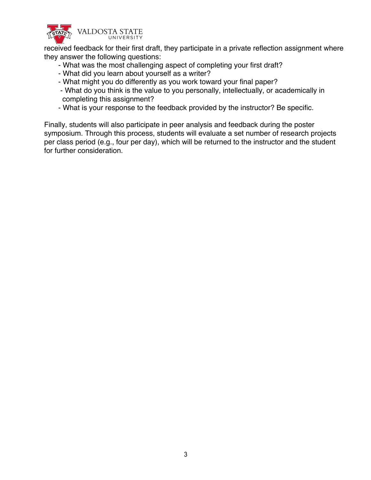

received feedback for their first draft, they participate in a private reflection assignment where they answer the following questions:

- What was the most challenging aspect of completing your first draft?
- What did you learn about yourself as a writer?
- What might you do differently as you work toward your final paper?
- What do you think is the value to you personally, intellectually, or academically in completing this assignment?
- What is your response to the feedback provided by the instructor? Be specific.

Finally, students will also participate in peer analysis and feedback during the poster symposium. Through this process, students will evaluate a set number of research projects per class period (e.g., four per day), which will be returned to the instructor and the student for further consideration.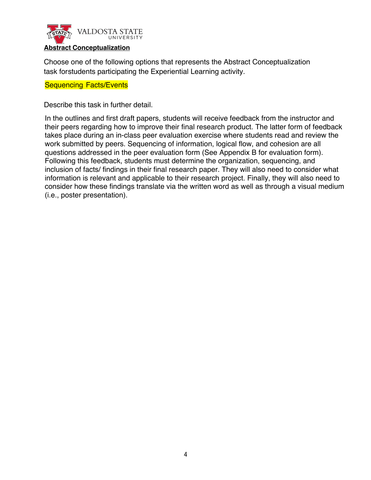

# **Abstract Conceptualization**

Choose one of the following options that represents the Abstract Conceptualization task for students participating the Experiential Learning activity.

#### **Sequencing Facts/Events**

Describe this task in further detail.

In the outlines and first draft papers, students will receive feedback from the instructor and their peers regarding how to improve their final research product. The latter form of feedback takes place during an in-class peer evaluation exercise where students read and review the work submitted by peers. Sequencing of information, logical flow, and cohesion are all questions addressed in the peer evaluation form (See Appendix B for evaluation form). Following this feedback, students must determine the organization, sequencing, and inclusion of facts/ findings in their final research paper. They will also need to consider what information is relevant and applicable to their research project. Finally, they will also need to consider how these findings translate via the written word as well as through a visual medium (i.e., poster presentation).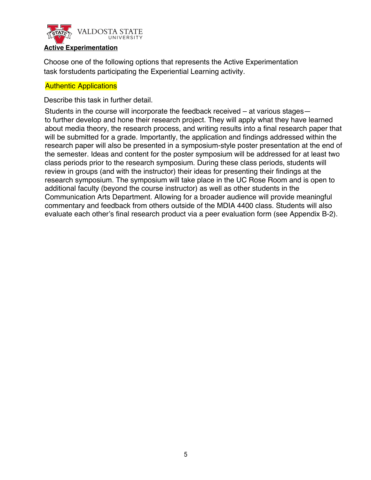

#### **Active Experimentation**

Choose one of the following options that represents the Active Experimentation task for students participating the Experiential Learning activity.

## **Authentic Applications**

Describe this task in further detail.

Students in the course will incorporate the feedback received – at various stages to further develop and hone their research project. They will apply what they have learned about media theory, the research process, and writing results into a final research paper that will be submitted for a grade. Importantly, the application and findings addressed within the research paper will also be presented in a symposium-style poster presentation at the end of the semester. Ideas and content for the poster symposium will be addressed for at least two class periods prior to the research symposium. During these class periods, students will review in groups (and with the instructor) their ideas for presenting their findings at the research symposium. The symposium will take place in the UC Rose Room and is open to additional faculty (beyond the course instructor) as well as other students in the Communication Arts Department. Allowing for a broader audience will provide meaningful commentary and feedback from others outside of the MDIA 4400 class. Students will also evaluate each other's final research product via a peer evaluation form (see Appendix B-2).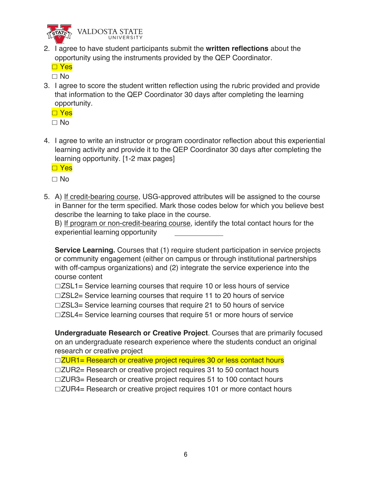

VALDOSTA STATE

2. I agree to have student participants submit the **written reflections** about the opportunity using the instruments provided by the QEP Coordinator.

**D** Yes

- $\Box$  No
- 3. I agree to score the student written reflection using the rubric provided and provide that information to the QEP Coordinator 30 days after completing the learning opportunity.

**□ Yes** 

 $\Box$  No

4. I agree to write an instructor or program coordinator reflection about this experiential learning activity and provide it to the QEP Coordinator 30 days after completing the learning opportunity. [1-2 max pages]

**□ Yes** 

 $\Box$  No

5. A) If credit-bearing course, USG-approved attributes will be assigned to the course in Banner for the term specified. Mark those codes below for which you believe best describe the learning to take place in the course.

B) If program or non-credit-bearing course, identify the total contact hours for the experiential learning opportunity

**Service Learning.** Courses that (1) require student participation in service projects or community engagement (either on campus or through institutional partnerships with off-campus organizations) and (2) integrate the service experience into the course content

 $\Box$ ZSL1= Service learning courses that require 10 or less hours of service  $\Box$ ZSL2= Service learning courses that require 11 to 20 hours of service  $\Box$ ZSL3= Service learning courses that require 21 to 50 hours of service  $\Box$ ZSL4= Service learning courses that require 51 or more hours of service

**Undergraduate Research or Creative Project**. Courses that are primarily focused on an undergraduate research experience where the students conduct an original research or creative project

 $\Box$ ZUR1= Research or creative project requires 30 or less contact hours

 $\Box$ ZUR2= Research or creative project requires 31 to 50 contact hours

 $\Box$ ZUR3= Research or creative project requires 51 to 100 contact hours

 $\Box$ ZUR4= Research or creative project requires 101 or more contact hours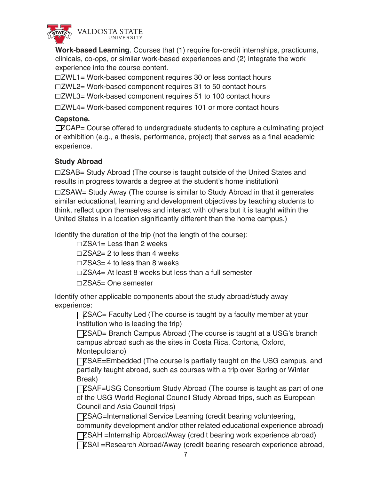

**Work-based Learning**. Courses that (1) require for-credit internships, practicums, clinicals, co-ops, or similar work-based experiences and (2) integrate the work experience into the course content.

 $\Box$ ZWL1= Work-based component requires 30 or less contact hours

 $\Box$ ZWL2= Work-based component requires 31 to 50 contact hours

 $\Box$ ZWL3= Work-based component requires 51 to 100 contact hours

 $\Box$ ZWL4= Work-based component requires 101 or more contact hours

# **Capstone.**

 $\square$  ZCAP= Course offered to undergraduate students to capture a culminating project or exhibition (e.g., a thesis, performance, project) that serves as a final academic experience.

# **Study Abroad**

 $\Box$ ZSAB= Study Abroad (The course is taught outside of the United States and results in progress towards a degree at the student's home institution)

 $\square$ ZSAW= Study Away (The course is similar to Study Abroad in that it generates similar educational, learning and development objectives by teaching students to think, reflect upon themselves and interact with others but it is taught within the United States in a location significantly different than the home campus.)

Identify the duration of the trip (not the length of the course):

 $\Box$ ZSA1= Less than 2 weeks

 $\Box$ ZSA2= 2 to less than 4 weeks

 $\Box$ ZSA3= 4 to less than 8 weeks

 $\square$ ZSA4= At least 8 weeks but less than a full semester

 $\square$ ZSA5= One semester

Identify other applicable components about the study abroad/study away experience:

 $\Box$  EXSAC= Faculty Led (The course is taught by a faculty member at your institution who is leading the trip)

**TESAD= Branch Campus Abroad (The course is taught at a USG's branch** campus abroad such as the sites in Costa Rica, Cortona, Oxford, Montepulciano)

ZSAE=Embedded (The course is partially taught on the USG campus, and partially taught abroad, such as courses with a trip over Spring or Winter Break)

**TESAF=USG Consortium Study Abroad (The course is taught as part of one** of the USG World Regional Council Study Abroad trips, such as European Council and Asia Council trips)

ZSAG=International Service Learning (credit bearing volunteering, community development and/or other related educational experience abroad)

ZSAH =Internship Abroad/Away (credit bearing work experience abroad)

ZSAI =Research Abroad/Away (credit bearing research experience abroad,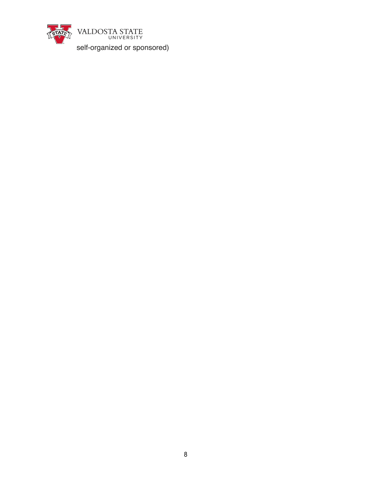